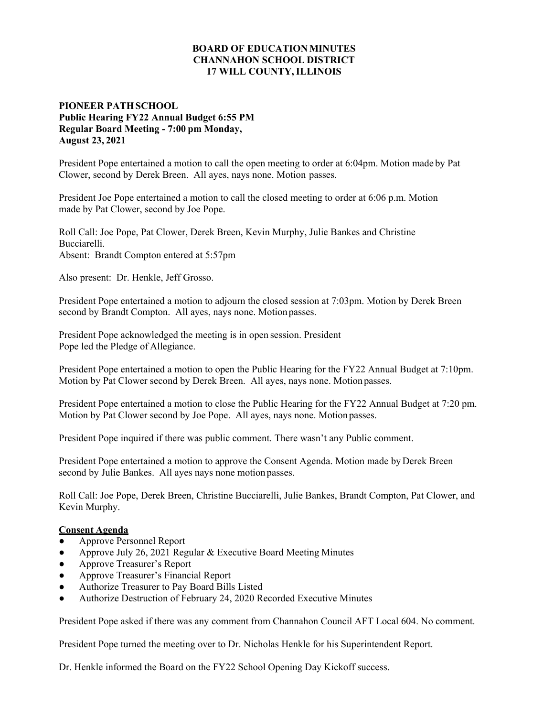## **BOARD OF EDUCATION MINUTES CHANNAHON SCHOOL DISTRICT 17 WILL COUNTY, ILLINOIS**

## **PIONEER PATH SCHOOL Public Hearing FY22 Annual Budget 6:55 PM Regular Board Meeting - 7:00 pm Monday, August 23, 2021**

President Pope entertained a motion to call the open meeting to order at 6:04pm. Motion made by Pat Clower, second by Derek Breen. All ayes, nays none. Motion passes.

President Joe Pope entertained a motion to call the closed meeting to order at 6:06 p.m. Motion made by Pat Clower, second by Joe Pope.

Roll Call: Joe Pope, Pat Clower, Derek Breen, Kevin Murphy, Julie Bankes and Christine Bucciarelli. Absent: Brandt Compton entered at 5:57pm

Also present: Dr. Henkle, Jeff Grosso.

President Pope entertained a motion to adjourn the closed session at 7:03pm. Motion by Derek Breen second by Brandt Compton. All ayes, nays none. Motion passes.

President Pope acknowledged the meeting is in open session. President Pope led the Pledge of Allegiance.

President Pope entertained a motion to open the Public Hearing for the FY22 Annual Budget at 7:10pm. Motion by Pat Clower second by Derek Breen. All ayes, nays none. Motion passes.

President Pope entertained a motion to close the Public Hearing for the FY22 Annual Budget at 7:20 pm. Motion by Pat Clower second by Joe Pope. All ayes, nays none. Motion passes.

President Pope inquired if there was public comment. There wasn't any Public comment.

President Pope entertained a motion to approve the Consent Agenda. Motion made by Derek Breen second by Julie Bankes. All ayes nays none motion passes.

Roll Call: Joe Pope, Derek Breen, Christine Bucciarelli, Julie Bankes, Brandt Compton, Pat Clower, and Kevin Murphy.

## **Consent Agenda**

- **●** Approve Personnel Report
- **●** Approve July 26, 2021 Regular & Executive Board Meeting Minutes
- **●** Approve Treasurer's Report
- **●** Approve Treasurer's Financial Report
- **●** Authorize Treasurer to Pay Board Bills Listed
- **●** Authorize Destruction of February 24, 2020 Recorded Executive Minutes

President Pope asked if there was any comment from Channahon Council AFT Local 604. No comment.

President Pope turned the meeting over to Dr. Nicholas Henkle for his Superintendent Report.

Dr. Henkle informed the Board on the FY22 School Opening Day Kickoff success.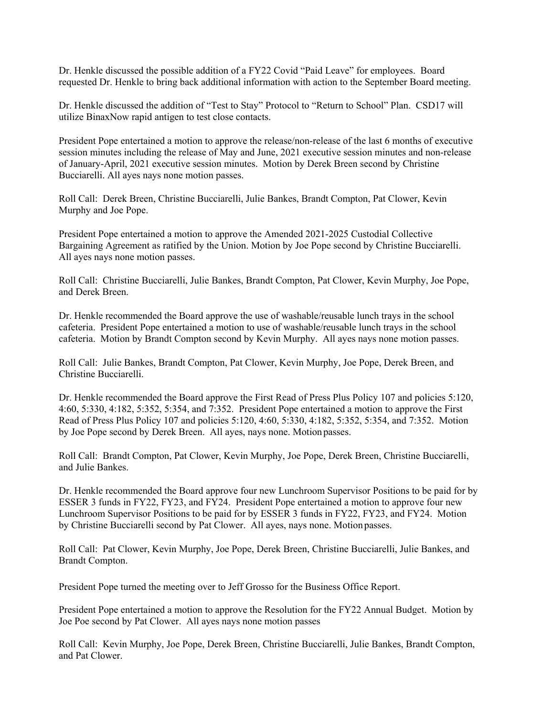Dr. Henkle discussed the possible addition of a FY22 Covid "Paid Leave" for employees. Board requested Dr. Henkle to bring back additional information with action to the September Board meeting.

Dr. Henkle discussed the addition of "Test to Stay" Protocol to "Return to School" Plan. CSD17 will utilize BinaxNow rapid antigen to test close contacts.

President Pope entertained a motion to approve the release/non-release of the last 6 months of executive session minutes including the release of May and June, 2021 executive session minutes and non-release of January-April, 2021 executive session minutes. Motion by Derek Breen second by Christine Bucciarelli. All ayes nays none motion passes.

Roll Call: Derek Breen, Christine Bucciarelli, Julie Bankes, Brandt Compton, Pat Clower, Kevin Murphy and Joe Pope.

President Pope entertained a motion to approve the Amended 2021-2025 Custodial Collective Bargaining Agreement as ratified by the Union. Motion by Joe Pope second by Christine Bucciarelli. All ayes nays none motion passes.

Roll Call: Christine Bucciarelli, Julie Bankes, Brandt Compton, Pat Clower, Kevin Murphy, Joe Pope, and Derek Breen.

Dr. Henkle recommended the Board approve the use of washable/reusable lunch trays in the school cafeteria. President Pope entertained a motion to use of washable/reusable lunch trays in the school cafeteria. Motion by Brandt Compton second by Kevin Murphy. All ayes nays none motion passes.

Roll Call: Julie Bankes, Brandt Compton, Pat Clower, Kevin Murphy, Joe Pope, Derek Breen, and Christine Bucciarelli.

Dr. Henkle recommended the Board approve the First Read of Press Plus Policy 107 and policies 5:120, 4:60, 5:330, 4:182, 5:352, 5:354, and 7:352. President Pope entertained a motion to approve the First Read of Press Plus Policy 107 and policies 5:120, 4:60, 5:330, 4:182, 5:352, 5:354, and 7:352. Motion by Joe Pope second by Derek Breen. All ayes, nays none. Motion passes.

Roll Call: Brandt Compton, Pat Clower, Kevin Murphy, Joe Pope, Derek Breen, Christine Bucciarelli, and Julie Bankes.

Dr. Henkle recommended the Board approve four new Lunchroom Supervisor Positions to be paid for by ESSER 3 funds in FY22, FY23, and FY24. President Pope entertained a motion to approve four new Lunchroom Supervisor Positions to be paid for by ESSER 3 funds in FY22, FY23, and FY24. Motion by Christine Bucciarelli second by Pat Clower. All ayes, nays none. Motion passes.

Roll Call: Pat Clower, Kevin Murphy, Joe Pope, Derek Breen, Christine Bucciarelli, Julie Bankes, and Brandt Compton.

President Pope turned the meeting over to Jeff Grosso for the Business Office Report.

President Pope entertained a motion to approve the Resolution for the FY22 Annual Budget. Motion by Joe Poe second by Pat Clower. All ayes nays none motion passes

Roll Call: Kevin Murphy, Joe Pope, Derek Breen, Christine Bucciarelli, Julie Bankes, Brandt Compton, and Pat Clower.